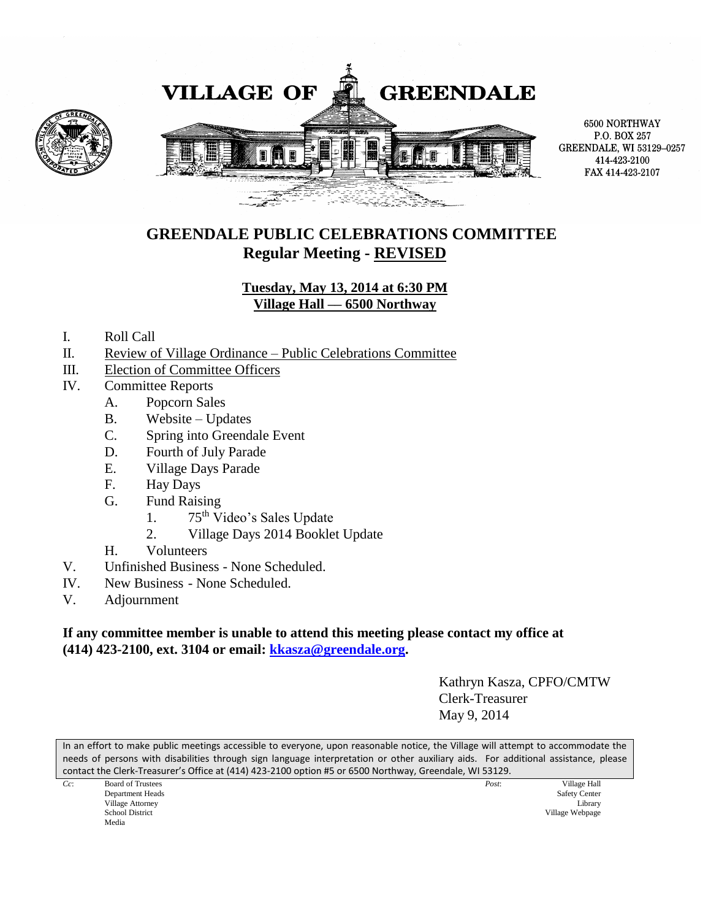

6500 NORTHWAY P.O. BOX 257 GREENDALE, WI 53129-0257 414-423-2100 FAX 414-423-2107

### **GREENDALE PUBLIC CELEBRATIONS COMMITTEE Regular Meeting - REVISED**

#### **Tuesday, May 13, 2014 at 6:30 PM Village Hall –– 6500 Northway**

- I. Roll Call
- II. Review of Village Ordinance Public Celebrations Committee
- III. Election of Committee Officers
- IV. Committee Reports
	- A. Popcorn Sales
	- B. Website Updates
	- C. Spring into Greendale Event
	- D. Fourth of July Parade
	- E. Village Days Parade
	- F. Hay Days
	- G. Fund Raising
		- 1. 75<sup>th</sup> Video's Sales Update
		- 2. Village Days 2014 Booklet Update
	- H. Volunteers
- V. Unfinished Business None Scheduled.
- IV. New Business None Scheduled.
- V. Adjournment

#### **If any committee member is unable to attend this meeting please contact my office at (414) 423-2100, ext. 3104 or email: [kkasza@greendale.org.](mailto:kkasza@greendale.org)**

Kathryn Kasza, CPFO/CMTW Clerk-Treasurer May 9, 2014

In an effort to make public meetings accessible to everyone, upon reasonable notice, the Village will attempt to accommodate the needs of persons with disabilities through sign language interpretation or other auxiliary aids. For additional assistance, please contact the Clerk-Treasurer's Office at (414) 423-2100 option #5 or 6500 Northway, Greendale, WI 53129.

|        |                          |  | -- |       |                      |
|--------|--------------------------|--|----|-------|----------------------|
| $Cc$ : | <b>Board of Trustees</b> |  |    | Post: | Village Hall         |
|        | Department Heads         |  |    |       | <b>Safety Center</b> |
|        | Village Attorney         |  |    |       | Library              |
|        | <b>School District</b>   |  |    |       | Village Webpage      |
|        | Media                    |  |    |       |                      |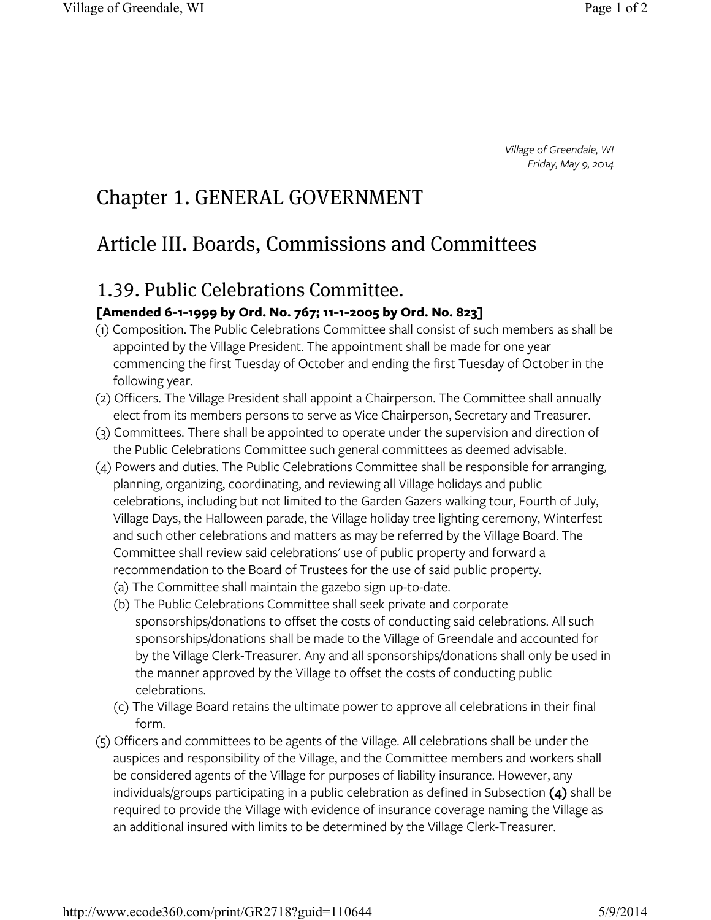*Village of Greendale, WI Friday, May 9, 2014*

# Chapter 1. GENERAL GOVERNMENT

# Article III. Boards, Commissions and Committees

## 1.39. Public Celebrations Committee.

### **[Amended 6-1-1999 by Ord. No. 767; 11-1-2005 by Ord. No. 823]**

- (1) Composition. The Public Celebrations Committee shall consist of such members as shall be appointed by the Village President. The appointment shall be made for one year commencing the first Tuesday of October and ending the first Tuesday of October in the following year.
- (2) Officers. The Village President shall appoint a Chairperson. The Committee shall annually elect from its members persons to serve as Vice Chairperson, Secretary and Treasurer.
- (3) Committees. There shall be appointed to operate under the supervision and direction of the Public Celebrations Committee such general committees as deemed advisable.
- (4) Powers and duties. The Public Celebrations Committee shall be responsible for arranging, planning, organizing, coordinating, and reviewing all Village holidays and public celebrations, including but not limited to the Garden Gazers walking tour, Fourth of July, Village Days, the Halloween parade, the Village holiday tree lighting ceremony, Winterfest and such other celebrations and matters as may be referred by the Village Board. The Committee shall review said celebrations' use of public property and forward a recommendation to the Board of Trustees for the use of said public property.
	- (a) The Committee shall maintain the gazebo sign up-to-date.
	- (b) The Public Celebrations Committee shall seek private and corporate sponsorships/donations to offset the costs of conducting said celebrations. All such sponsorships/donations shall be made to the Village of Greendale and accounted for by the Village Clerk-Treasurer. Any and all sponsorships/donations shall only be used in the manner approved by the Village to offset the costs of conducting public celebrations.
	- (c) The Village Board retains the ultimate power to approve all celebrations in their final form.
- (5) Officers and committees to be agents of the Village. All celebrations shall be under the auspices and responsibility of the Village, and the Committee members and workers shall be considered agents of the Village for purposes of liability insurance. However, any individuals/groups participating in a public celebration as defined in Subsection **(4)** shall be required to provide the Village with evidence of insurance coverage naming the Village as an additional insured with limits to be determined by the Village Clerk-Treasurer.